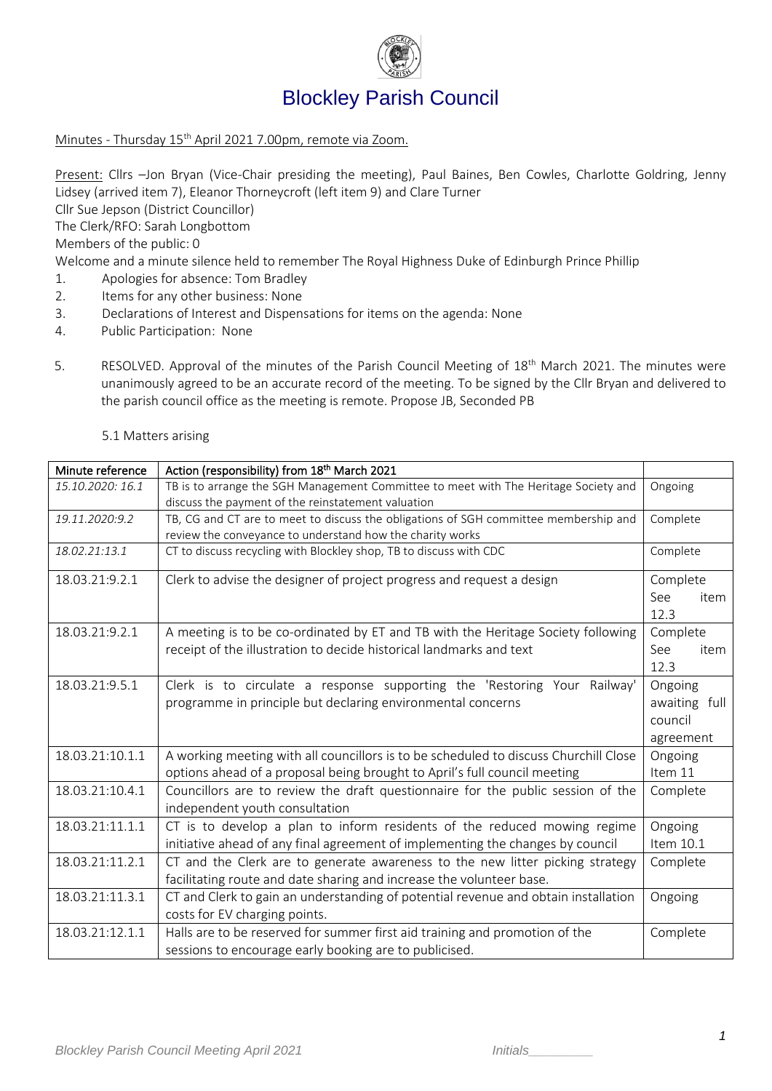

## Blockley Parish Council

## Minutes - Thursday 15 th April 2021 7.00pm, remote via Zoom.

Present: Cllrs –Jon Bryan (Vice-Chair presiding the meeting), Paul Baines, Ben Cowles, Charlotte Goldring, Jenny Lidsey (arrived item 7), Eleanor Thorneycroft (left item 9) and Clare Turner

Cllr Sue Jepson (District Councillor)

The Clerk/RFO: Sarah Longbottom

Members of the public: 0

Welcome and a minute silence held to remember The Royal Highness Duke of Edinburgh Prince Phillip

- 1. Apologies for absence: Tom Bradley
- 2. Items for any other business: None
- 3. Declarations of Interest and Dispensations for items on the agenda: None
- 4. Public Participation: None
- 5. RESOLVED. Approval of the minutes of the Parish Council Meeting of 18<sup>th</sup> March 2021. The minutes were unanimously agreed to be an accurate record of the meeting. To be signed by the Cllr Bryan and delivered to the parish council office as the meeting is remote. Propose JB, Seconded PB

## 5.1 Matters arising

| Minute reference | Action (responsibility) from 18th March 2021                                         |               |  |
|------------------|--------------------------------------------------------------------------------------|---------------|--|
| 15.10.2020: 16.1 | TB is to arrange the SGH Management Committee to meet with The Heritage Society and  | Ongoing       |  |
|                  | discuss the payment of the reinstatement valuation                                   |               |  |
| 19.11.2020:9.2   | TB, CG and CT are to meet to discuss the obligations of SGH committee membership and | Complete      |  |
|                  | review the conveyance to understand how the charity works                            |               |  |
| 18.02.21:13.1    | CT to discuss recycling with Blockley shop, TB to discuss with CDC                   | Complete      |  |
| 18.03.21:9.2.1   | Clerk to advise the designer of project progress and request a design                | Complete      |  |
|                  |                                                                                      | See<br>item   |  |
|                  |                                                                                      | 12.3          |  |
| 18.03.21:9.2.1   | A meeting is to be co-ordinated by ET and TB with the Heritage Society following     | Complete      |  |
|                  | receipt of the illustration to decide historical landmarks and text                  | See<br>item   |  |
|                  |                                                                                      | 12.3          |  |
| 18.03.21:9.5.1   | Clerk is to circulate a response supporting the 'Restoring Your Railway'             | Ongoing       |  |
|                  | programme in principle but declaring environmental concerns                          | awaiting full |  |
|                  |                                                                                      | council       |  |
|                  |                                                                                      | agreement     |  |
| 18.03.21:10.1.1  | A working meeting with all councillors is to be scheduled to discuss Churchill Close | Ongoing       |  |
|                  | options ahead of a proposal being brought to April's full council meeting            | Item 11       |  |
| 18.03.21:10.4.1  | Councillors are to review the draft questionnaire for the public session of the      | Complete      |  |
|                  | independent youth consultation                                                       |               |  |
| 18.03.21:11.1.1  | CT is to develop a plan to inform residents of the reduced mowing regime             | Ongoing       |  |
|                  | initiative ahead of any final agreement of implementing the changes by council       | Item 10.1     |  |
| 18.03.21:11.2.1  | CT and the Clerk are to generate awareness to the new litter picking strategy        | Complete      |  |
|                  | facilitating route and date sharing and increase the volunteer base.                 |               |  |
| 18.03.21:11.3.1  | CT and Clerk to gain an understanding of potential revenue and obtain installation   | Ongoing       |  |
|                  | costs for EV charging points.                                                        |               |  |
| 18.03.21:12.1.1  | Halls are to be reserved for summer first aid training and promotion of the          | Complete      |  |
|                  | sessions to encourage early booking are to publicised.                               |               |  |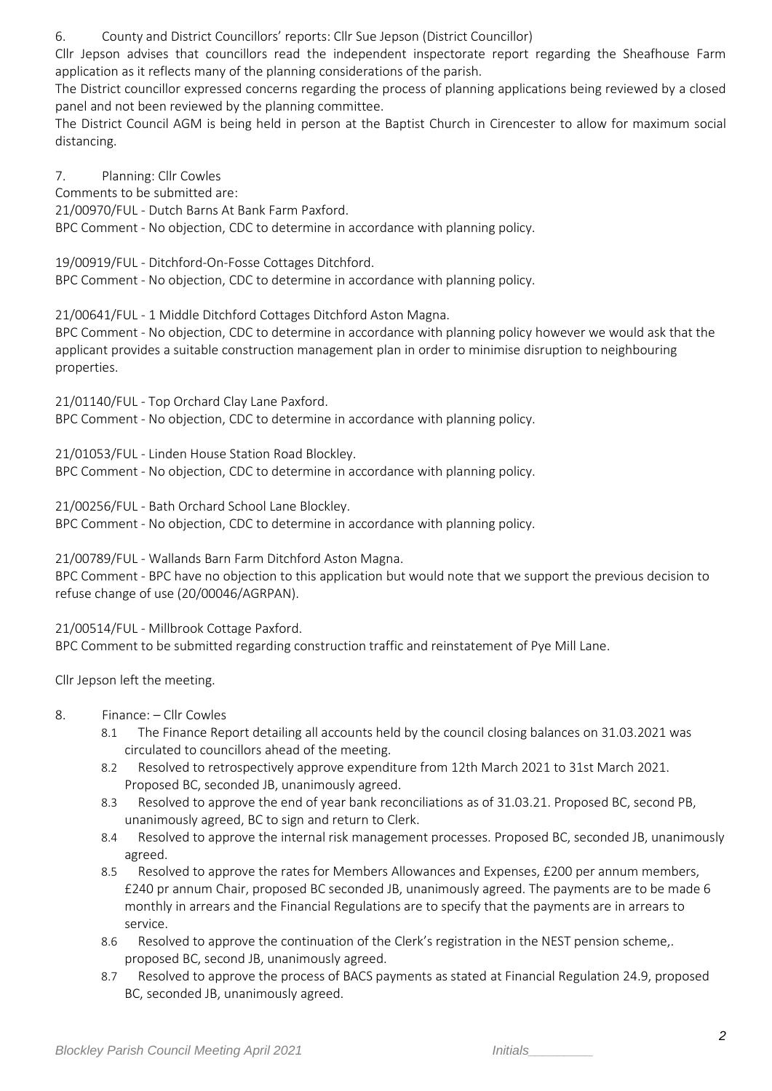6. County and District Councillors' reports: Cllr Sue Jepson (District Councillor)

Cllr Jepson advises that councillors read the independent inspectorate report regarding the Sheafhouse Farm application as it reflects many of the planning considerations of the parish.

The District councillor expressed concerns regarding the process of planning applications being reviewed by a closed panel and not been reviewed by the planning committee.

The District Council AGM is being held in person at the Baptist Church in Cirencester to allow for maximum social distancing.

7. Planning: Cllr Cowles Comments to be submitted are: 21/00970/FUL - Dutch Barns At Bank Farm Paxford. BPC Comment - No objection, CDC to determine in accordance with planning policy.

19/00919/FUL - Ditchford-On-Fosse Cottages Ditchford.

BPC Comment - No objection, CDC to determine in accordance with planning policy.

21/00641/FUL - 1 Middle Ditchford Cottages Ditchford Aston Magna.

BPC Comment - No objection, CDC to determine in accordance with planning policy however we would ask that the applicant provides a suitable construction management plan in order to minimise disruption to neighbouring properties.

21/01140/FUL - Top Orchard Clay Lane Paxford. BPC Comment - No objection, CDC to determine in accordance with planning policy.

21/01053/FUL - Linden House Station Road Blockley. BPC Comment - No objection, CDC to determine in accordance with planning policy.

21/00256/FUL - Bath Orchard School Lane Blockley. BPC Comment - No objection, CDC to determine in accordance with planning policy.

21/00789/FUL - Wallands Barn Farm Ditchford Aston Magna.

BPC Comment - BPC have no objection to this application but would note that we support the previous decision to refuse change of use (20/00046/AGRPAN).

21/00514/FUL - Millbrook Cottage Paxford. BPC Comment to be submitted regarding construction traffic and reinstatement of Pye Mill Lane.

Cllr Jepson left the meeting.

- 8. Finance: Cllr Cowles
	- 8.1 The Finance Report detailing all accounts held by the council closing balances on 31.03.2021 was circulated to councillors ahead of the meeting.
	- 8.2 Resolved to retrospectively approve expenditure from 12th March 2021 to 31st March 2021. Proposed BC, seconded JB, unanimously agreed.
	- 8.3 Resolved to approve the end of year bank reconciliations as of 31.03.21. Proposed BC, second PB, unanimously agreed, BC to sign and return to Clerk.
	- 8.4 Resolved to approve the internal risk management processes. Proposed BC, seconded JB, unanimously agreed.
	- 8.5 Resolved to approve the rates for Members Allowances and Expenses, £200 per annum members, £240 pr annum Chair, proposed BC seconded JB, unanimously agreed. The payments are to be made 6 monthly in arrears and the Financial Regulations are to specify that the payments are in arrears to service.
	- 8.6 Resolved to approve the continuation of the Clerk's registration in the NEST pension scheme,. proposed BC, second JB, unanimously agreed.
	- 8.7 Resolved to approve the process of BACS payments as stated at Financial Regulation 24.9, proposed BC, seconded JB, unanimously agreed.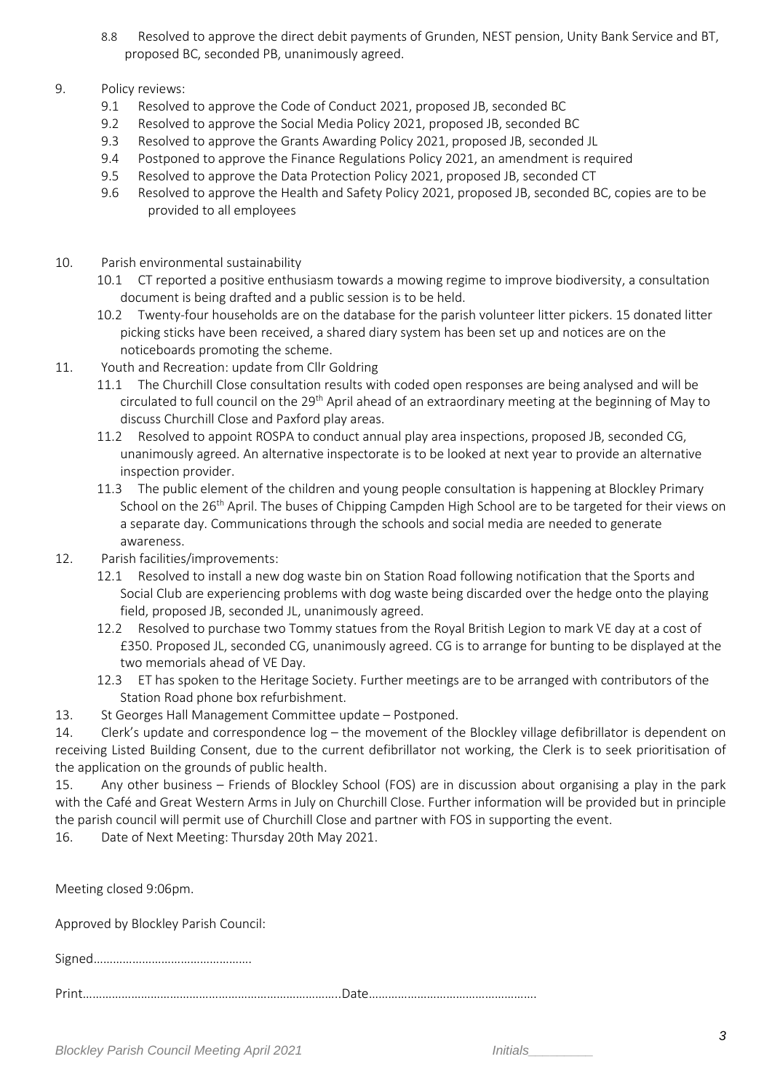- 8.8 Resolved to approve the direct debit payments of Grunden, NEST pension, Unity Bank Service and BT, proposed BC, seconded PB, unanimously agreed.
- 9. Policy reviews:
	- 9.1 Resolved to approve the Code of Conduct 2021, proposed JB, seconded BC
	- 9.2 Resolved to approve the Social Media Policy 2021, proposed JB, seconded BC
	- 9.3 Resolved to approve the Grants Awarding Policy 2021, proposed JB, seconded JL
	- 9.4 Postponed to approve the Finance Regulations Policy 2021, an amendment is required
	- 9.5 Resolved to approve the Data Protection Policy 2021, proposed JB, seconded CT
	- 9.6 Resolved to approve the Health and Safety Policy 2021, proposed JB, seconded BC, copies are to be provided to all employees
- 10. Parish environmental sustainability
	- 10.1 CT reported a positive enthusiasm towards a mowing regime to improve biodiversity, a consultation document is being drafted and a public session is to be held.
	- 10.2 Twenty-four households are on the database for the parish volunteer litter pickers. 15 donated litter picking sticks have been received, a shared diary system has been set up and notices are on the noticeboards promoting the scheme.
- 11. Youth and Recreation: update from Cllr Goldring
	- 11.1 The Churchill Close consultation results with coded open responses are being analysed and will be circulated to full council on the 29<sup>th</sup> April ahead of an extraordinary meeting at the beginning of May to discuss Churchill Close and Paxford play areas.
	- 11.2 Resolved to appoint ROSPA to conduct annual play area inspections, proposed JB, seconded CG, unanimously agreed. An alternative inspectorate is to be looked at next year to provide an alternative inspection provider.
	- 11.3 The public element of the children and young people consultation is happening at Blockley Primary School on the 26<sup>th</sup> April. The buses of Chipping Campden High School are to be targeted for their views on a separate day. Communications through the schools and social media are needed to generate awareness.
- 12. Parish facilities/improvements:
	- 12.1 Resolved to install a new dog waste bin on Station Road following notification that the Sports and Social Club are experiencing problems with dog waste being discarded over the hedge onto the playing field, proposed JB, seconded JL, unanimously agreed.
	- 12.2 Resolved to purchase two Tommy statues from the Royal British Legion to mark VE day at a cost of £350. Proposed JL, seconded CG, unanimously agreed. CG is to arrange for bunting to be displayed at the two memorials ahead of VE Day.
	- 12.3 ET has spoken to the Heritage Society. Further meetings are to be arranged with contributors of the Station Road phone box refurbishment.
- 13. St Georges Hall Management Committee update Postponed.

14. Clerk's update and correspondence log – the movement of the Blockley village defibrillator is dependent on receiving Listed Building Consent, due to the current defibrillator not working, the Clerk is to seek prioritisation of the application on the grounds of public health.

15. Any other business – Friends of Blockley School (FOS) are in discussion about organising a play in the park with the Café and Great Western Arms in July on Churchill Close. Further information will be provided but in principle the parish council will permit use of Churchill Close and partner with FOS in supporting the event.

16. Date of Next Meeting: Thursday 20th May 2021.

Meeting closed 9:06pm.

Approved by Blockley Parish Council:

Signed………………………………………….

Print……………………………………………………………………..Date…………………………………………….